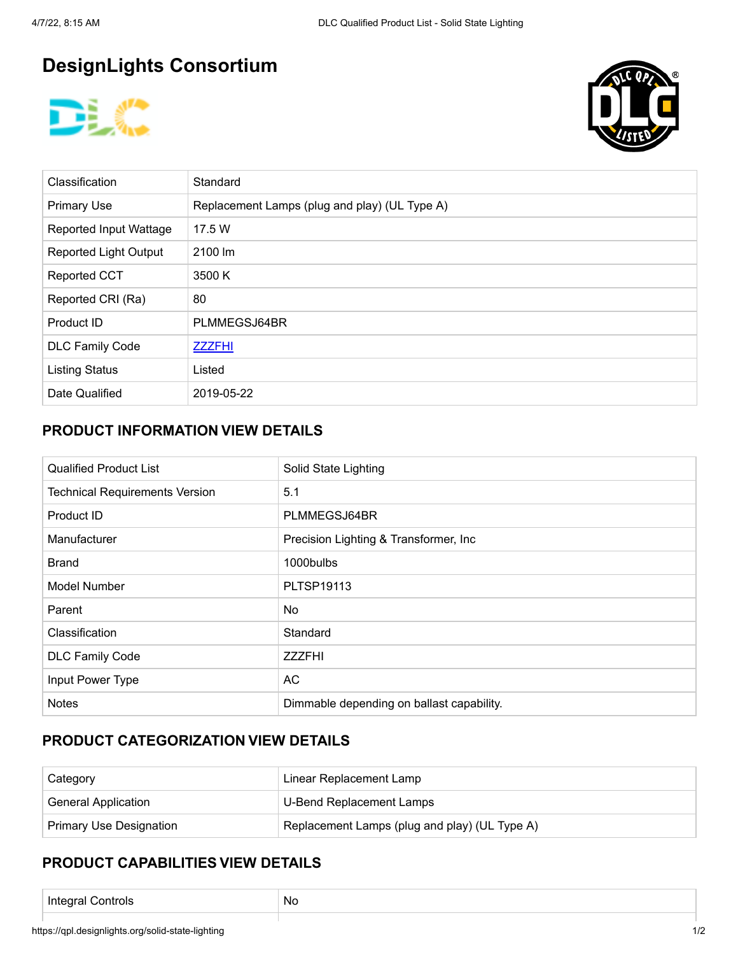# **DesignLights Consortium**





| Classification               | Standard                                      |
|------------------------------|-----------------------------------------------|
| <b>Primary Use</b>           | Replacement Lamps (plug and play) (UL Type A) |
| Reported Input Wattage       | 17.5 W                                        |
| <b>Reported Light Output</b> | 2100 lm                                       |
| <b>Reported CCT</b>          | 3500 K                                        |
| Reported CRI (Ra)            | 80                                            |
| Product ID                   | PLMMEGSJ64BR                                  |
| <b>DLC Family Code</b>       | <b>ZZZFHI</b>                                 |
| <b>Listing Status</b>        | Listed                                        |
| Date Qualified               | 2019-05-22                                    |

### **PRODUCT INFORMATION VIEW DETAILS**

| <b>Qualified Product List</b>         | Solid State Lighting                      |  |  |
|---------------------------------------|-------------------------------------------|--|--|
| <b>Technical Requirements Version</b> | 5.1                                       |  |  |
| Product ID                            | PLMMEGSJ64BR                              |  |  |
| Manufacturer                          | Precision Lighting & Transformer, Inc.    |  |  |
| <b>Brand</b>                          | 1000bulbs                                 |  |  |
| Model Number                          | PLTSP19113                                |  |  |
| Parent                                | No                                        |  |  |
| Classification                        | Standard                                  |  |  |
| <b>DLC Family Code</b>                | <b>ZZZFHI</b>                             |  |  |
| Input Power Type                      | AC                                        |  |  |
| <b>Notes</b>                          | Dimmable depending on ballast capability. |  |  |

### **PRODUCT CATEGORIZATION VIEW DETAILS**

| Category                       | Linear Replacement Lamp                       |  |
|--------------------------------|-----------------------------------------------|--|
| <b>General Application</b>     | U-Bend Replacement Lamps                      |  |
| <b>Primary Use Designation</b> | Replacement Lamps (plug and play) (UL Type A) |  |

## **PRODUCT CAPABILITIES VIEW DETAILS**

Integral Controls No